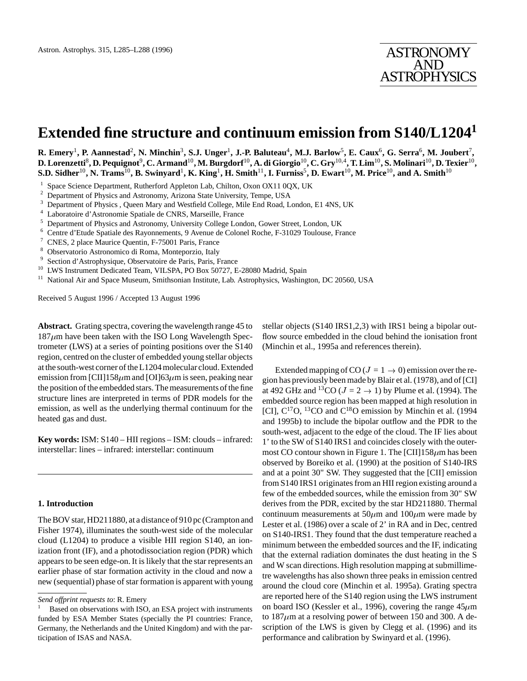# **Extended fine structure and continuum emission from S140/L1204<sup>1</sup>**

 $R$ . Emery<sup>1</sup>, P. Aannestad<sup>2</sup>, N. Minchin<sup>3</sup>, S.J. Unger<sup>1</sup>, J.-P. Baluteau<sup>4</sup>, M.J. Barlow<sup>5</sup>, E. Caux<sup>6</sup>, G. Serra<sup>6</sup>, M. Joubert<sup>7</sup>,  ${\bf D. Lorentzetti}^8, {\bf D. Pequignot}^9, {\bf C. Armand}^{10}, {\bf M. Burgdorf}^{10}, {\bf A. di Giorgio}^{10}, {\bf C. Gry}^{10,4}, {\bf T. Lim}^{10}, {\bf S. Molinari}^{10}, {\bf D. Texier}^{10},$  ${\bf S.D.~Sidher}^{10},$   ${\bf N.~Trans}^{10},$   ${\bf B.~Swinyard}^1,$   ${\bf K.~King}^1,$   ${\bf H.~Smith}^{11},$   ${\bf I.~Furniss}^5,$   ${\bf D.~Ewart}^{10},$   ${\bf M.~Price}^{10},$  and  ${\bf A.~Smith}^{10}$ 

- <sup>1</sup> Space Science Department, Rutherford Appleton Lab, Chilton, Oxon OX11 0QX, UK<br><sup>2</sup> Department of Physics and Astronomy, Arizona State University, Tampa, USA
- <sup>2</sup> Department of Physics and Astronomy, Arizona State University, Tempe, USA
- $3$  Department of Physics , Queen Mary and Westfield College, Mile End Road, London, E1 4NS, UK  $4$  Leberatoire d'Astronomia Spatiale de CNBS, Marcellle France
- Laboratoire d'Astronomie Spatiale de CNRS, Marseille, France
- <sup>5</sup> Department of Physics and Astronomy, University College London, Gower Street, London, UK<br><sup>6</sup> Centre d'Etude Spatiale des Payonnements, 9 Avenue de Colonel Poche, E 31029 Toulouse, Er
- <sup>6</sup> Centre d'Etude Spatiale des Rayonnements, 9 Avenue de Colonel Roche, F-31029 Toulouse, France
- <sup>7</sup> CNES, 2 place Maurice Quentin, F-75001 Paris, France
- <sup>8</sup> Observatorio Astronomico di Roma, Monteporzio, Italy
- 9 Section d'Astrophysique, Observatoire de Paris, Paris, France
- <sup>10</sup> LWS Instrument Dedicated Team, VILSPA, PO Box 50727, E-28080 Madrid, Spain<br><sup>11</sup> National Air and Space Museum, Smithsonian Institute, Jab Astrophysics, Washing
- <sup>11</sup> National Air and Space Museum, Smithsonian Institute, Lab. Astrophysics, Washington, DC 20560, USA

Received 5 August 1996 / Accepted 13 August 1996

**Abstract.** Grating spectra, covering the wavelength range 45 to  $187 \mu m$  have been taken with the ISO Long Wavelength Spectrometer (LWS) at a series of pointing positions over the S140 region, centred on the cluster of embedded young stellar objects at the south-west corner of the L1204 molecular cloud. Extended emission from [CII]158 $\mu$ m and [OI]63 $\mu$ m is seen, peaking near the position of the embedded stars. The measurements of the fine structure lines are interpreted in terms of PDR models for the emission, as well as the underlying thermal continuum for the heated gas and dust.

**Key words:** ISM: S140 – HII regions – ISM: clouds – infrared: interstellar: lines – infrared: interstellar: continuum

#### **1. Introduction**

The BOV star, HD211880, at a distance of 910 pc (Crampton and Fisher 1974), illuminates the south-west side of the molecular cloud (L1204) to produce a visible HII region S140, an ionization front (IF), and a photodissociation region (PDR) which appears to be seen edge-on. It is likely that the star represents an earlier phase of star formation activity in the cloud and now a new (sequential) phase of star formation is apparent with young

stellar objects (S140 IRS1,2,3) with IRS1 being a bipolar outflow source embedded in the cloud behind the ionisation front (Minchin et al., 1995a and references therein).

Extended mapping of CO ( $J = 1 \rightarrow 0$ ) emission over the region has previously been made by Blair et al. (1978), and of [CI] at 492 GHz and <sup>13</sup>CO ( $J = 2 \rightarrow 1$ ) by Plume et al. (1994). The embedded source region has been mapped at high resolution in [CI],  $C^{17}O$ , <sup>13</sup>CO and  $C^{18}O$  emission by Minchin et al. (1994) and 1995b) to include the bipolar outflow and the PDR to the south-west, adjacent to the edge of the cloud. The IF lies about 1' to the SW of S140 IRS1 and coincides closely with the outermost CO contour shown in Figure 1. The [CII]158 $\mu$ m has been observed by Boreiko et al. (1990) at the position of S140-IRS and at a point 30" SW. They suggested that the [CII] emission from S140 IRS1 originates from an HII region existing around a few of the embedded sources, while the emission from 30" SW derives from the PDR, excited by the star HD211880. Thermal continuum measurements at  $50 \mu m$  and  $100 \mu m$  were made by Lester et al. (1986) over a scale of 2' in RA and in Dec, centred on S140-IRS1. They found that the dust temperature reached a minimum between the embedded sources and the IF, indicating that the external radiation dominates the dust heating in the S and W scan directions. High resolution mapping at submillimetre wavelengths has also shown three peaks in emission centred around the cloud core (Minchin et al. 1995a). Grating spectra are reported here of the S140 region using the LWS instrument on board ISO (Kessler et al., 1996), covering the range  $45 \mu m$ to  $187 \mu m$  at a resolving power of between 150 and 300. A description of the LWS is given by Clegg et al. (1996) and its performance and calibration by Swinyard et al. (1996).

*Send offprint requests to*: R. Emery

Based on observations with ISO, an ESA project with instruments funded by ESA Member States (specially the PI countries: France, Germany, the Netherlands and the United Kingdom) and with the participation of ISAS and NASA.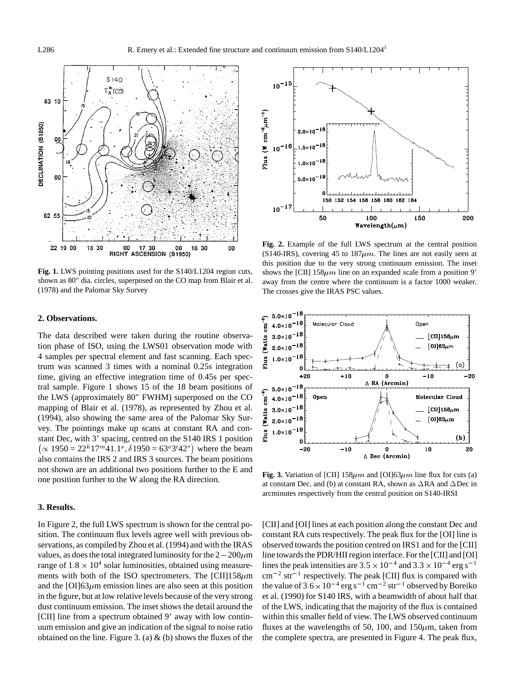

**Fig. 1.** LWS pointing positions used for the S140/L1204 region cuts, shown as 80" dia. circles, superposed on the CO map from Blair et al. (1978) and the Palomar Sky Survey

### **2. Observations.**

The data described were taken during the routine observation phase of ISO, using the LWS01 observation mode with 4 samples per spectral element and fast scanning. Each spectrum was scanned 3 times with a nominal 0.25s integration time, giving an effective integration time of 0.45s per spectral sample. Figure 1 shows 15 of the 18 beam positions of the LWS (approximately 80" FWHM) superposed on the CO mapping of Blair et al. (1978), as represented by Zhou et al. (1994), also showing the same area of the Palomar Sky Survey. The pointings make up scans at constant RA and constant Dec, with 3' spacing, centred on the S140 IRS 1 position  $(\propto 1950 = 22^h 17^m 41.1^s, \delta 1950 = 63^\circ 3' 42'')$  where the beam also contains the IRS 2 and IRS 3 sources. The beam positions not shown are an additional two positions further to the E and one position further to the W along the RA direction.

# **3. Results.**

In Figure 2, the full LWS spectrum is shown for the central position. The continuum flux levels agree well with previous observations, as compiled by Zhou et al. (1994) and with the IRAS values, as does the total integrated luminosity for the  $2-200\mu$ m range of  $1.8 \times 10^4$  solar luminosities, obtained using measurements with both of the ISO spectrometers. The  $\text{[CII]}$ 158 $\mu$ m and the [OI]63 $\mu$ m emission lines are also seen at this position in the figure, but at low relative levels because of the very strong dust continuum emission. The inset shows the detail around the [CII] line from a spectrum obtained 9' away with low continuum emission and give an indication of the signal to noise ratio obtained on the line. Figure 3. (a)  $\&$  (b) shows the fluxes of the



**Fig. 2.** Example of the full LWS spectrum at the central position (S140-IRS), covering 45 to  $187 \mu m$ . The lines are not easily seen at this position due to the very strong continuum emission. The inset shows the [CII]  $158\mu m$  line on an expanded scale from a position 9' away from the centre where the continuum is a factor 1000 weaker. The crosses give the IRAS PSC values.



**Fig. 3.** Variation of [CII]  $158\mu m$  and  $[OII]63\mu m$  line flux for cuts (a) at constant Dec. and (b) at constant RA, shown as  $\Delta$ RA and  $\Delta$ Dec in arcminutes respectively from the central position on S140-IRSI

[CII] and [OI] lines at each position along the constant Dec and constant RA cuts respectively. The peak flux for the [OI] line is observed towards the position centred on IRS1 and for the [CII] line towards the PDR/HII region interface. For the [CII] and [OI] lines the peak intensities are  $3.5 \times 10^{-4}$  and  $3.3 \times 10^{-4}$  erg s<sup>-1</sup>  $\text{cm}^{-2}$  str<sup>-1</sup> respectively. The peak [CII] flux is compared with the value of  $3.6 \times 10^{-4}$  erg s<sup>-1</sup> cm<sup>-2</sup> str<sup>-1</sup> observed by Boreiko et al. (1990) for S140 IRS, with a beamwidth of about half that of the LWS, indicating that the majority of the flux is contained within this smaller field of view. The LWS observed continuum fluxes at the wavelengths of 50, 100, and  $150 \mu m$ , taken from the complete spectra, are presented in Figure 4. The peak flux,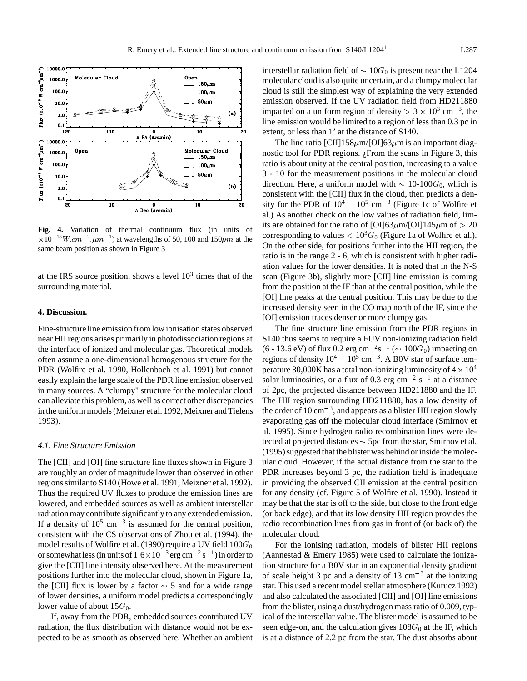

**Fig. 4.** Variation of thermal continuum flux (in units of  $\times 10^{-18} W.cm^{-2} \mu m^{-1}$ ) at wavelengths of 50, 100 and 150 $\mu m$  at the same beam position as shown in Figure 3

at the IRS source position, shows a level  $10<sup>3</sup>$  times that of the surrounding material.

# **4. Discussion.**

Fine-structure line emission from low ionisation states observed near HII regions arises primarily in photodissociation regions at the interface of ionized and molecular gas. Theoretical models often assume a one-dimensional homogenous structure for the PDR (Wolfire et al. 1990, Hollenbach et al. 1991) but cannot easily explain the large scale of the PDR line emission observed in many sources. A "clumpy" structure for the molecular cloud can alleviate this problem, as well as correct other discrepancies in the uniform models (Meixner et al. 1992, Meixner and Tielens 1993).

# *4.1. Fine Structure Emission*

The [CII] and [OI] fine structure line fluxes shown in Figure 3 are roughly an order of magnitude lower than observed in other regions similar to S140 (Howe et al. 1991, Meixner et al. 1992). Thus the required UV fluxes to produce the emission lines are lowered, and embedded sources as well as ambient interstellar radiation may contribute significantly to any extended emission. If a density of  $10^5$  cm<sup>-3</sup> is assumed for the central position, consistent with the CS observations of Zhou et al. (1994), the model results of Wolfire et al. (1990) require a UV field  $100G_0$ or somewhat less (in units of  $1.6 \times 10^{-3}$  erg cm<sup>-2</sup> s<sup>-1</sup>) in order to give the [CII] line intensity observed here. At the measurement positions further into the molecular cloud, shown in Figure 1a, the [CII] flux is lower by a factor  $\sim$  5 and for a wide range of lower densities, a uniform model predicts a correspondingly lower value of about  $15G_0$ .

If, away from the PDR, embedded sources contributed UV radiation, the flux distribution with distance would not be expected to be as smooth as observed here. Whether an ambient interstellar radiation field of  $\sim 10G_0$  is present near the L1204 molecular cloud is also quite uncertain, and a clumpy molecular cloud is still the simplest way of explaining the very extended emission observed. If the UV radiation field from HD211880 impacted on a uniform region of density  $> 3 \times 10^3$  cm<sup>-3</sup>, the line emission would be limited to a region of less than 0.3 pc in extent, or less than 1' at the distance of S140.

The line ratio  $\text{[CII]}158\mu\text{m}/\text{[OII]}63\mu\text{m}$  is an important diagnostic tool for PDR regions.  $i$ From the scans in Figure 3, this ratio is about unity at the central position, increasing to a value 3 - 10 for the measurement positions in the molecular cloud direction. Here, a uniform model with  $\sim 10$ -100 $G_0$ , which is consistent with the [CII] flux in the cloud, then predicts a density for the PDR of  $10^4 - 10^5$  cm<sup>-3</sup> (Figure 1c of Wolfire et al.) As another check on the low values of radiation field, limits are obtained for the ratio of  $[OII]63 \mu m/[OII]145 \mu m$  of  $> 20$ corresponding to values  $< 10<sup>3</sup>G<sub>0</sub>$  (Figure 1a of Wolfire et al.). On the other side, for positions further into the HII region, the ratio is in the range 2 - 6, which is consistent with higher radiation values for the lower densities. It is noted that in the N-S scan (Figure 3b), slightly more [CII] line emission is coming from the position at the IF than at the central position, while the [OI] line peaks at the central position. This may be due to the increased density seen in the CO map north of the IF, since the [OI] emission traces denser or more clumpy gas.

The fine structure line emission from the PDR regions in S140 thus seems to require a FUV non-ionizing radiation field (6 - 13.6 eV) of flux 0.2 erg cm<sup>-2</sup>s<sup>-1</sup> ( $\sim 100G_0$ ) impacting on regions of density  $10^4 - 10^5$  cm<sup>-3</sup>. A B0V star of surface temperature 30,000K has a total non-ionizing luminosity of  $4 \times 10^4$ solar luminosities, or a flux of 0.3 erg cm<sup>-2</sup> s<sup>-1</sup> at a distance of 2pc, the projected distance between HD211880 and the IF. The HII region surrounding HD211880, has a low density of the order of  $10 \text{ cm}^{-3}$ , and appears as a blister HII region slowly evaporating gas off the molecular cloud interface (Smirnov et al. 1995). Since hydrogen radio recombination lines were detected at projected distances  $\sim$  5pc from the star, Smirnov et al. (1995) suggested that the blister was behind or inside the molecular cloud. However, if the actual distance from the star to the PDR increases beyond 3 pc, the radiation field is inadequate in providing the observed CII emission at the central position for any density (cf. Figure 5 of Wolfire et al. 1990). Instead it may be that the star is off to the side, but close to the front edge (or back edge), and that its low density HII region provides the radio recombination lines from gas in front of (or back of) the molecular cloud.

For the ionising radiation, models of blister HII regions (Aannestad & Emery 1985) were used to calculate the ionization structure for a B0V star in an exponential density gradient of scale height 3 pc and a density of 13  $\text{cm}^{-3}$  at the ionizing star. This used a recent model stellar atmosphere (Kurucz 1992) and also calculated the associated [CII] and [OI] line emissions from the blister, using a dust/hydrogen mass ratio of 0.009, typical of the interstellar value. The blister model is assumed to be seen edge-on, and the calculation gives  $108G<sub>0</sub>$  at the IF, which is at a distance of 2.2 pc from the star. The dust absorbs about